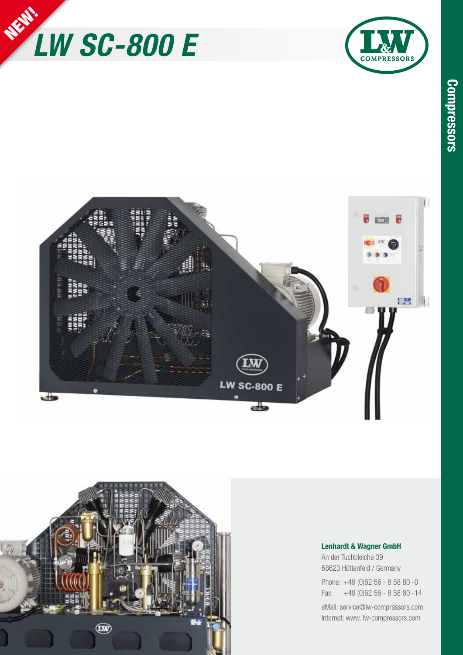







## **Lenhardt & Wagner GmbH**

An der Tuchbleiche 39 68623 Hüttenfeld / Germany

Phone: +49 (0)62 56 - 8 58 80 -0 Fax: +49 (0)62 56 - 8 58 80 -14

eMail: service@lw-compressors.com Internet: www. lw-compressors.com